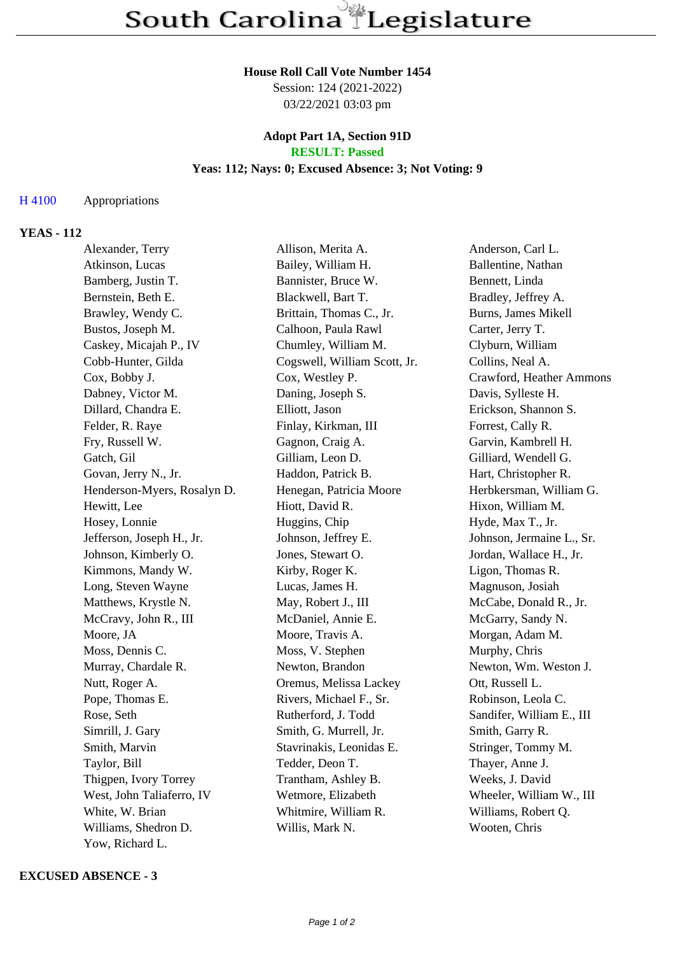#### **House Roll Call Vote Number 1454**

Session: 124 (2021-2022) 03/22/2021 03:03 pm

## **Adopt Part 1A, Section 91D RESULT: Passed**

# **Yeas: 112; Nays: 0; Excused Absence: 3; Not Voting: 9**

### H 4100 Appropriations

# **YEAS - 112**

| Alexander, Terry            | Allison, Merita A.           | Anderson, Carl L.         |
|-----------------------------|------------------------------|---------------------------|
| Atkinson, Lucas             | Bailey, William H.           | Ballentine, Nathan        |
| Bamberg, Justin T.          | Bannister, Bruce W.          | Bennett, Linda            |
| Bernstein, Beth E.          | Blackwell, Bart T.           | Bradley, Jeffrey A.       |
| Brawley, Wendy C.           | Brittain, Thomas C., Jr.     | Burns, James Mikell       |
| Bustos, Joseph M.           | Calhoon, Paula Rawl          | Carter, Jerry T.          |
| Caskey, Micajah P., IV      | Chumley, William M.          | Clyburn, William          |
| Cobb-Hunter, Gilda          | Cogswell, William Scott, Jr. | Collins, Neal A.          |
| Cox, Bobby J.               | Cox, Westley P.              | Crawford, Heather Ammons  |
| Dabney, Victor M.           | Daning, Joseph S.            | Davis, Sylleste H.        |
| Dillard, Chandra E.         | Elliott, Jason               | Erickson, Shannon S.      |
| Felder, R. Raye             | Finlay, Kirkman, III         | Forrest, Cally R.         |
| Fry, Russell W.             | Gagnon, Craig A.             | Garvin, Kambrell H.       |
| Gatch, Gil                  | Gilliam, Leon D.             | Gilliard, Wendell G.      |
| Govan, Jerry N., Jr.        | Haddon, Patrick B.           | Hart, Christopher R.      |
| Henderson-Myers, Rosalyn D. | Henegan, Patricia Moore      | Herbkersman, William G.   |
| Hewitt, Lee                 | Hiott, David R.              | Hixon, William M.         |
| Hosey, Lonnie               | Huggins, Chip                | Hyde, Max T., Jr.         |
| Jefferson, Joseph H., Jr.   | Johnson, Jeffrey E.          | Johnson, Jermaine L., Sr. |
| Johnson, Kimberly O.        | Jones, Stewart O.            | Jordan, Wallace H., Jr.   |
| Kimmons, Mandy W.           | Kirby, Roger K.              | Ligon, Thomas R.          |
| Long, Steven Wayne          | Lucas, James H.              | Magnuson, Josiah          |
| Matthews, Krystle N.        | May, Robert J., III          | McCabe, Donald R., Jr.    |
| McCravy, John R., III       | McDaniel, Annie E.           | McGarry, Sandy N.         |
| Moore, JA                   | Moore, Travis A.             | Morgan, Adam M.           |
| Moss, Dennis C.             | Moss, V. Stephen             | Murphy, Chris             |
| Murray, Chardale R.         | Newton, Brandon              | Newton, Wm. Weston J.     |
| Nutt, Roger A.              | Oremus, Melissa Lackey       | Ott, Russell L.           |
| Pope, Thomas E.             | Rivers, Michael F., Sr.      | Robinson, Leola C.        |
| Rose, Seth                  | Rutherford, J. Todd          | Sandifer, William E., III |
| Simrill, J. Gary            | Smith, G. Murrell, Jr.       | Smith, Garry R.           |
| Smith, Marvin               | Stavrinakis, Leonidas E.     | Stringer, Tommy M.        |
| Taylor, Bill                | Tedder, Deon T.              | Thayer, Anne J.           |
| Thigpen, Ivory Torrey       | Trantham, Ashley B.          | Weeks, J. David           |
| West, John Taliaferro, IV   | Wetmore, Elizabeth           | Wheeler, William W., III  |
| White, W. Brian             | Whitmire, William R.         | Williams, Robert Q.       |
| Williams, Shedron D.        | Willis, Mark N.              | Wooten, Chris             |
| Yow, Richard L.             |                              |                           |

#### **EXCUSED ABSENCE - 3**